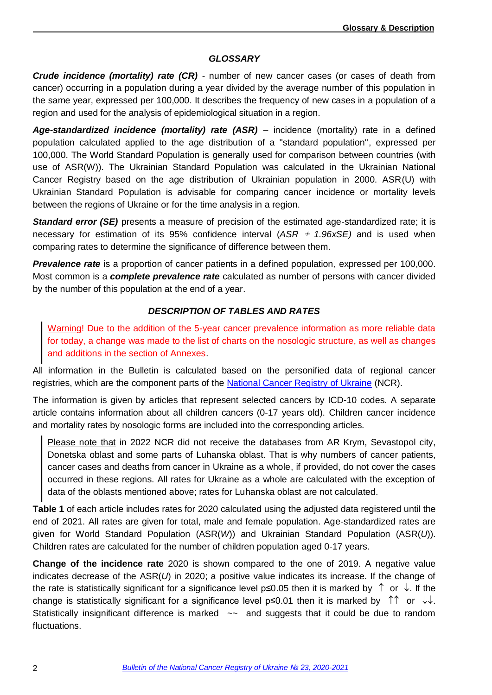## *GLOSSARY*

*Crude incidence (mortality) rate (CR)* - number of new cancer cases (or cases of death from cancer) occurring in a population during a year divided by the average number of this population in the same year, expressed per 100,000. It describes the frequency of new cases in a population of a region and used for the analysis of epidemiological situation in a region.

*Age-standardized incidence (mortality) rate (ASR)* – incidence (mortality) rate in a defined population calculated applied to the age distribution of a "standard population", expressed per 100,000. The World Standard Population is generally used for comparison between countries (with use of ASR(W)). The Ukrainian Standard Population was calculated in the Ukrainian National Cancer Registry based on the age distribution of Ukrainian population in 2000. ASR(U) with Ukrainian Standard Population is advisable for comparing cancer incidence or mortality levels between the regions of Ukraine or for the time analysis in a region.

**Standard error (SE)** presents a measure of precision of the estimated age-standardized rate; it is necessary for estimation of its 95% confidence interval (*ASR 1.96xSE)* and is used when comparing rates to determine the significance of difference between them.

*Prevalence rate* is a proportion of cancer patients in a defined population, expressed per 100,000. Most common is a *complete prevalence rate* calculated as number of persons with cancer divided by the number of this population at the end of a year.

## *DESCRIPTION OF TABLES AND RATES*

Warning! Due to the addition of the 5-year cancer prevalence information as more reliable data for today, a change was made to the list of charts on the nosologic structure, as well as changes and additions in the section of Annexes.

All information in the Bulletin is calculated based on the personified data of regional cancer registries, which are the component parts of the [National Cancer Registry](http://ncru.inf.ua/info_en.htm) of Ukraine (NCR).

The information is given by articles that represent selected cancers by ICD-10 codes. A separate article contains information about all children cancers (0-17 years old). Children cancer incidence and mortality rates by nosologic forms are included into the corresponding articles.

Please note that in 2022 NCR did not receive the databases from AR Krym, Sevastopol city, Donetska oblast and some parts of Luhanska oblast. That is why numbers of cancer patients, cancer cases and deaths from cancer in Ukraine as a whole, if provided, do not cover the cases occurred in these regions. All rates for Ukraine as a whole are calculated with the exception of data of the oblasts mentioned above; rates for Luhanska oblast are not calculated.

**Table 1** of each article includes rates for 2020 calculated using the adjusted data registered until the end of 2021. All rates are given for total, male and female population. Age-standardized rates are given for World Standard Population (ASR(*W*)) and Ukrainian Standard Population (ASR(*U*)). Children rates are calculated for the number of children population aged 0-17 years.

**Change of the incidence rate** 2020 is shown compared to the one of 2019. A negative value indicates decrease of the ASR(*U*) in 2020; a positive value indicates its increase. If the change of the rate is statistically significant for a significance level p≤0.05 then it is marked by  $\uparrow$  or  $\downarrow$  If the change is statistically significant for a significance level p≤0.01 then it is marked by  $\uparrow \uparrow$  or  $\downarrow \downarrow$ . Statistically insignificant difference is marked  $\sim$  and suggests that it could be due to random fluctuations.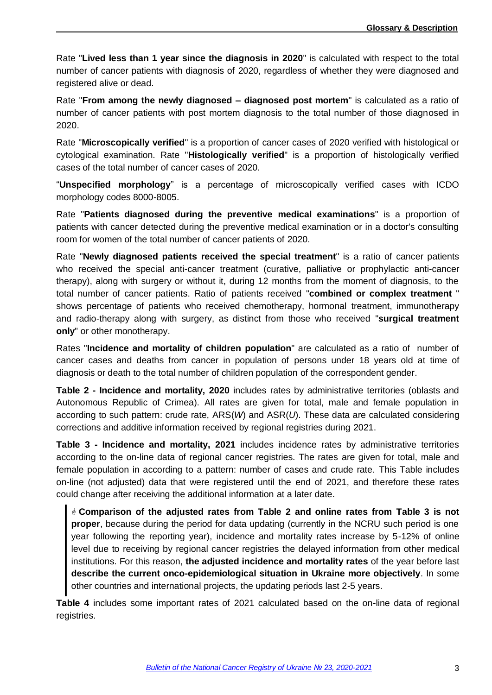Rate "**Lived less than 1 year since the diagnosis in 2020**" is calculated with respect to the total number of cancer patients with diagnosis of 2020, regardless of whether they were diagnosed and registered alive or dead.

Rate "**From among the newly diagnosed – diagnosed post mortem**" is calculated as a ratio of number of cancer patients with post mortem diagnosis to the total number of those diagnosed in 2020.

Rate "**Microscopically verified**" is a proportion of cancer cases of 2020 verified with histological or cytological examination. Rate "**Histologically verified**" is a proportion of histologically verified cases of the total number of cancer cases of 2020.

"**Unspecified morphology**" is a percentage of microscopically verified cases with ICDO morphology codes 8000-8005.

Rate "**Patients diagnosed during the preventive medical examinations**" is a proportion of patients with cancer detected during the preventive medical examination or in a doctor's consulting room for women of the total number of cancer patients of 2020.

Rate "**Newly diagnosed patients received the special treatment**" is a ratio of cancer patients who received the special anti-cancer treatment (curative, palliative or prophylactic anti-cancer therapy), along with surgery or without it, during 12 months from the moment of diagnosis, to the total number of cancer patients. Ratio of patients received "**combined or complex treatment** " shows percentage of patients who received chemotherapy, hormonal treatment, immunotherapy and radio-therapy along with surgery, as distinct from those who received "**surgical treatment only**" or other monotherapy.

Rates "**Incidence and mortality of children population**" are calculated as a ratio of number of cancer cases and deaths from cancer in population of persons under 18 years old at time of diagnosis or death to the total number of children population of the correspondent gender.

**Table 2 - Incidence and mortality, 2020** includes rates by administrative territories (oblasts and Autonomous Republic of Crimea). All rates are given for total, male and female population in according to such pattern: crude rate, ARS(*W*) and ASR(*U*). These data are calculated considering corrections and additive information received by regional registries during 2021.

**Table 3 - Incidence and mortality, 2021** includes incidence rates by administrative territories according to the on-line data of regional cancer registries. The rates are given for total, male and female population in according to a pattern: number of cases and crude rate. This Table includes on-line (not adjusted) data that were registered until the end of 2021, and therefore these rates could change after receiving the additional information at a later date.

 **Comparison of the adjusted rates from Table 2 and online rates from Table 3 is not proper**, because during the period for data updating (currently in the NCRU such period is one year following the reporting year), incidence and mortality rates increase by 5-12% of online level due to receiving by regional cancer registries the delayed information from other medical institutions. For this reason, **the adjusted incidence and mortality rates** of the year before last **describe the current onco-epidemiological situation in Ukraine more objectively**. In some other countries and international projects, the updating periods last 2-5 years.

**Table 4** includes some important rates of 2021 calculated based on the on-line data of regional registries.